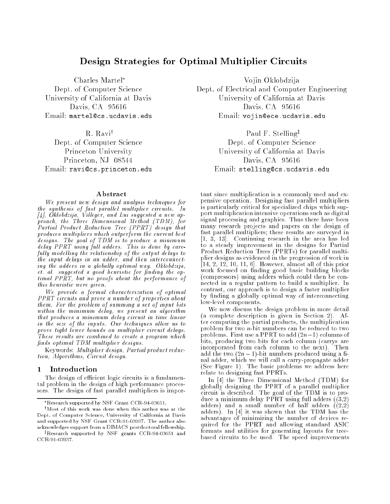# Design Strategies for Optimal Multiplier Circuits

R. Ravi<sup>†</sup> Princeton, NJ 08544 Davis, CA 95616

### Abstract

We present new design and analysis techniques for the synthesis of fast paral lel multiplier circuits. In [4], Oklobdzija, Vil leger, and Lui suggested a new approach, the Three Dimensional Method (TDM), for Partial Product Reduction Tree (PPRT) design that produces multipliers which outperform the current best designs. The goal of TDM is to produce a minimum is to produce a minimum is to produce a minimum in the second delay PPRT using ful l adders. This is done by carefully modelling the relationship of the output delays to the input delays in an adder, and then interconnecting the adders in a globally optimal way. Oklobdzija, et. al. suggested a good heuristic for finding the optimal PPRT, but no proofs about the performance of this heuristic were given.

we provide a formal characterization of optimal PPRT circuits and prove a number of properties about them. For the problem of summing a set of input bits within the minimum delay, we present an algorithm that produces a minimum delay circuit in time linear in the size of the inputs. Our techniques allow us to prove tight lower bounds on multiplier circuit delays. These results are combined to create a program which finds optimal TDM multiplier designs.

Keywords: Multiplier design, Partial product reduction, Algorithms, Circuit design.

### 1 Introduction

The design of efficient logic circuits is a fundamental problem in the design of high performance processors. The design of fast parallel multipliers is impor-

Charles Martel\* Vojin Oklobdzija Dept. of Computer Science Dept. of Electrical and Computer Engineering University of California at Davis University of California at Davis Davis, CA 95616 Davis, CA 95616 Email: martel@cs.ucdavis.edu Email: vojin@ece.ucdavis.edu

Paul F. Stelling<sup>‡</sup> Dept. of Computer Science Dept. of Computer Science Princeton University University of California at Davis Email: ravi@cs.princeton.edu entertail: stelling@cs.ucdavis.edu

> tant since multiplication is a commonly used and expensive operation. Designing fast parallel multipliers is particularly critical for specialized chips which support multiplication intensive operations such as digital signal processing and graphics. Thus there have been many research projects and papers on the design of fast parallel multipliers; these results are surveyed in [1, 3, 13]. Continuing research in the area has led to a steady improvement in the designs for Partial Product Reduction Trees (PPRTs) for parallel multiplier designs as evidenced in the progression of work in  $[14, 2, 12, 10, 11, 6]$ . However, almost all of this prior work focused on nding good basic building blocks (compressors) using adders which could then be connected in a regular pattern to build a multiplier. In contrast, our approach is to design a faster multiplier by finding a globally optimal way of interconnecting low-level components.

> We now discuss the design problem in more detail (a complete description is given in Section 2). After computing the partial products, the multiplication problem for two n-bit numbers can be reduced to two problems. First use a PPRT to add  $(2n-1)$  columns of bits, producing two bits for each column (carrys are incorporated from each column to the next). Then add the two  $(2n - 1)$ -bit numbers produced using a final adder, which we will call a carry-propagate adder (See Figure 1). The basic problems we address here relate to designing fast PPRTs.

> In [4] the Three Dimensional Method (TDM) for globally designing the PPRT of a parallel multiplier circuit is described. The goal of the TDM is to produce a minimum delay PPRT using full adders ((3,2) adders) and a small number of half adders  $((2,2)$ adders). In [4] it was shown that the TDM has the advantages of minimizing the number of devices required for the PPRT and allowing standard ASIC formats and utilities for generating layouts for treebased circuits to be used. The speed improvements

Research supported by NSF Grant CCR-94-03651.

 $\dagger$ Most of this work was done when this author was at the Dept. of Computer Science, University of California at Davis and supported by NSF Grant CCR-91-03937. The author also acknowledges support from a DIMACS postdoctoral fellowship.

<sup>&</sup>lt;sup>‡</sup>Research supported by NSF grants CCR-94-03651 and CCR-91-03937.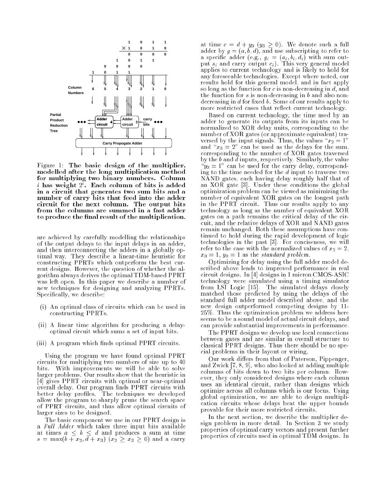

Figure 1: The basic design of the multiplier, modelled after the long multiplication method for multiplying two binary numbers. Column  $\imath$  nas weight  $\imath$  . Each column of bits is added in a circuit that generates two sum bits and a number of carry bits that feed in the added into the add circuit for the next column. The output bits to produce the final result of the multiplication.

are achieved by carefully modelling the relationships of the output delays to the input delays in an adder, and then interconnecting the adders in a globally optimal way. They describe a linear-time heuristic for constructing PPRTs which outperform the best current designs. However, the question of whether the algorithm always derives the optimal TDM-based PPRT was left open. In this paper we describe a number of new techniques for designing and analyzing PPRTs. Specifically, we describe:

- (i) An optimal class of circuits which can be used in constructing PPRTs.
- (ii) A linear time algorithm for producing a delayoptimal circuit which sums a set of input bits.
- (iii) A program which finds optimal PPRT circuits.

Using the program we have found optimal PPRT circuits for multiplying two numbers of size up to 40 bits. With improvements we will be able to solve larger problems. Our results show that the heuristic in [4] gives PPRT circuits with optimal or near-optimal overall delay. Our program nds PPRT circuits with better delay profiles. The techniques we developed allow the program to sharply prune the search space of PPRT circuits, and thus allow optimal circuits of larger sizes to be designed.

The basic component we use in our PPRT design is a Full Adder which takes three input bits available at times a b d and produces a sum at times s and  $\mathbf{x} = \mathbf{x} = \mathbf{x} = \mathbf{x} = \mathbf{x} = \mathbf{x} = \mathbf{x} = \mathbf{x} = \mathbf{x} = \mathbf{x} = \mathbf{x} = \mathbf{x} = \mathbf{x} = \mathbf{x} = \mathbf{x} = \mathbf{x} = \mathbf{x} = \mathbf{x} = \mathbf{x} = \mathbf{x} = \mathbf{x} = \mathbf{x} = \mathbf{x} = \mathbf{x} = \mathbf{x} = \mathbf{x} = \mathbf{x} = \mathbf{x} = \mathbf{x} = \mathbf{x} = \mathbf{x} = \mathbf{x} = \mathbf{x} = \mathbf{x} = \mathbf{x} = \mathbf{x$ 

at time <sup>c</sup> <sup>=</sup> <sup>d</sup> <sup>+</sup> y3 (y3 0). We denote such <sup>a</sup> full adder by g  $\mathbf{a}$ , and use subscripting to refer to refer to refer to refer to refer to refer to refer to refer to refer to refer to refer to refer to refer to refer to refer to refer to refer to refer to refer to refer a specific adder (e.g.,  $g_{k}$  = (e.g., bi; displayer sum output si and carry output ci). This very general model applies to current technology and is likely to hold for any foreseeable technologies. Except where noted, our results hold for this general model, and in fact apply so long as the function for c is non-decreasing in d, and the function for s is non-decreasing in b and also nondecreasing in  $d$  for fixed  $b$ . Some of our results apply to more restricted cases that reflect current technology.

Based on current technology, the time used by an adder to generate its outputs from its inputs can be normalized to XOR delay units, corresponding to the number of XOR gates (or approximate equivalent) traversed by the input signals. Thus, the values " $x_2 = 1$ " and  $x_3 = 2$ " can be used as the delays for the sum, corresponding to the number of XOR gates traversed by the b and d inputs, respectively. Similarly, the value  $\mathrm{``}y_3 = 1$ " can be used for the carry delay, corresponding to the time needed for the d input to traverse two NAND gates, each having delay roughly half that of an XOR gate [3]. Under these conditions the global optimization problem can be viewed as minimizing the number of equivalent  $\Omega$ in the PPRT circuit. Thus our results apply to any technology as long as the number of equivalent XOR gates on a path remains the critical delay of the circuit, and the relative delays of XOR and NAND gates remain unchanged. Both these assumptions have continued to hold during the rapid development of logic technologies in the past [3]. For conciseness, we will refer to the case with the normalized values of  $x_2 = 2$ ,  $x_3 = 1, y_3 = 1$  as the *standard problem*.

Optimizing for delay using the full adder model described above leads to improved performance in real circuit designs. In [4] designs in 1 micron CMOS-ASIC technology were simulated using a timing simulator from LSI Logic [15]. The simulated delays closely matched those predicted by using the delays of the standard full adder model described above, and the new design outperformed competing designs by 11- 25%. Thus the optimization problem we address here seems to be a sound model of actual circuit delays, and can provide substantial improvements in performance.

The PPRT designs we develop use local connections between gates and are similar in overall structure to classical PPRT designs. Thus there should be no special problems in their layout or wiring.

Our work differs from that of Paterson, Pippenger, and Zwick [7, 8, 9], who also looked at adding multiple columns of bits down to two bits per column. However, they only considered designs where each column uses an identical circuit, rather than designs which optimize across all columns which is our focus. Using global optimization, we are able to design multiplication circuits whose delays beat the upper bounds provable for their more restricted circuits.

In the next section, we describe the multiplier design problem in more detail. In Section 3 we study properties of optimal carry vectors and present further properties of circuits used in optimal TDM designs. In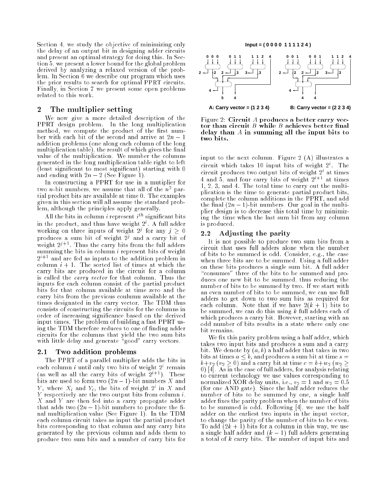Section 4, we study the objective of minimizing only the delay of an output bit in designing adder circuits and present an optimal strategy for doing this. In Section 5, we present a lower bound for the global problem derived by analyzing a relaxed version of the problem. In Section 6 we describe our program which uses the prior results to search for optimal PPRT circuits. Finally, in Section 7 we present some open problems related to this work.

#### The multiplier setting  $\bf{2}$

We now give a more detailed description of the PPRT design problem. In the long multiplication method, we compute the product of the product of the product of the product of the product of the product of the product of the product of the product of the product of the product of the product of the product of the pro ber with each bit of the second and arrive at  $2n - 1$ addition problems (one along each column of the long multiplication table), the result of which gives the final value of the multiplication. We number the columns generated in the long multiplication table right to left (least signicant to most signicant) starting with 0 and ending with  $2n - 2$  (See Figure 1).

In constructing a PPRT for use in a mutiplier for two  $n$ -bit numbers, we assume that all of the  $n<sup>2</sup>$  partial product bits are available at time 0. The examples given in this section will all assume the standard problem, although the principles apply generally.

All the bits in column  $i$  represent  $i^{\ldots}$  significant bits in the product, and thus have weight 2<sup>i</sup> . A full adder working on three inputs of weight  $2^s$  for any  $j > 0$ produces a sum bit of weight 2j and a carry bit of weight 2<sup>2</sup> + 1 mus the carry bits from the full adders summing the bits in column *i* represent bits of weight  $2^{i+1}$  and are fed as inputs to the addition problem in column  $i + 1$ . The sorted list of times at which the carry bits are produced in the circuit for a column is called the carry vector for that column. Thus the inputs for each column consist of the partial product bits for that column available at time zero and the carry bits from the previous coulumn available at the times designated in the carry vector. The TDM thus consists of constructing the circuits for the columns in order of increasing signicance based on the derived input times. The problem of building a fast PPRT using the TDM therefore reduces to one of nding adder circuits for the columns that yield the two sum bits with little delay and generate "good" carry vectors.

### 2.1 Two addition problems

The PPRT of a parallel multiplier adds the bits in each column  $\imath$  until only two bits of weight  $\emph{2}^{\circ}$  remain (as well as all the carry bits of weight  $2^{i+1}$ ). These bits are used to form two  $(2n - 1)$ -bit numbers X and  $Y$ , where  $\overline{X}_i$  and  $Y_i$ , the bits of weight  $Z^c$  in  $\overline{X}$  and Y respectively are the two output bits from column  $i$ . X and Y are then fed into a carry propogate adder that adds two  $(2n - 1)$ -bit numbers to produce the final multiplication value (See Figure 1). In the TDM each column circuit takes as input the partial product bits corresponding to that column and any carry bits generated by the previous column and adds them to produce two sum bits and a number of carry bits for



Figure 2: Circuit A produces a better carry vecdelay the the in summing all the input bits to the input bits to

input to the next column. Figure 2 (A) illustrates a circuit which takes 10 input bits of weight 2i . The circuit produces two output bits of weight 2i at times 4 and 5, and four carry bits of weight  $2^{i+1}$  at times 1, 2, 3, and 4. The total time to carry out the multiplication is the time to generate partial product bits, complete the column additions in the PPRT, and add the final  $(2n - 1)$ -bit numbers. Our goal in the multiplier design is to decrease this total time by minimizing the time when the last sum bit from any column is produced.

#### Adjusting the parity  $2.2$

It is not possible to produce two sum bits from a circuit that uses full adders alone when the number of bits to be summed is odd. Consider, e.g., the case when three bits are to be summed. Using a full adder on these bits produces a single sum bit. A full adder "consumes" three of the bits to be summed and produces one new bit to be summed, thus reducing the number of bits to be summed by two. If we start with an even number of bits to be summed, we can use full adders to get down to two sum bits as required for each column. Note that if we have  $2(k + 1)$  bits to be summed, we can do this using  $k$  full adders each of which produces a carry bit. However, starting with an odd number of bits results in a state where only one bit remains.

We fix this parity problem using a half adder, which takes two input bits and produces a sum and a carry bit. We denote by  $(a, b)$  a half adder that takes in two bits at times  $a \leq b$ , and produces a sum bit at time  $s =$  $b+v_2$   $(v_2 \geq 0)$  and a carry bit at time  $c = b+w_2$   $(w_2 \geq 0)$ 0) [4]. As in the case of full adders, for analysis relating to current technology we use values corresponding to normalized XOR delay units, i.e.,  $v_2 = 1$  and  $w_2 = 0.5$ (for one AND gate). Since the half adder reduces the number of bits to be summed by one, a single half adder fixes the parity problem when the number of bits to be summed is odd. Following [4], we use the half adder on the earliest two inputs in the input vector, to change the parity of the number of bits to be even. To add  $(2k + 1)$  bits for a column in this way, we use a single half adder and  $(k - 1)$  full adders generating a total of k carry bits. The number of input bits and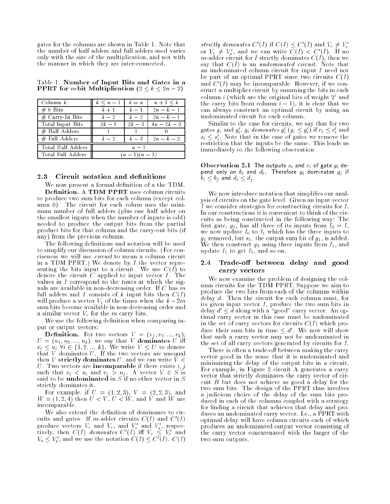gates for the columns are shown in Table 1. Note that the number of half adders and full adders used varies only with the size of the multiplication, and not with the manner in which they are inter-connected.

Table 1: Number of Input Bits and Gates in <sup>a</sup> PPRT for n-bit Multiplication (2 k 2n 2)

| $\Box$ Column $k$ : | $k \leq n-1$ | $k = n$ | $n+1 \leq k$ |
|---------------------|--------------|---------|--------------|
| $\# 0$ Bits         | $k+1$        | $k-1$   | $2n - k - 1$ |
| $#$ Carry-In Bits   | $k-2$        | $k-2$   | $2n - k - 1$ |
| Total Input Bits    | $2k-1$       | $2k-3$  | $4n-2k-2$    |
| $#$ Half Adders     |              |         |              |
| # Full Adders       | $k-2$        | $k=3$   | $2n-k-2$     |
| Total Half Adders   | $n-1$        |         |              |
| Total Full Adders   | $(n-1)(n-3)$ |         |              |

#### Circuit notation and definitions  $2.3$

We now present a formal definition of a the TDM. to produce two sum bits for each column (except column 0). The circuit for each colum uses the minimum number of full adders (plus one half adder on the smallest inputs when the number of inputs is odd) needed to produce the output bits from the partial product bits for that column and the carry-out bits (if any) from the previous column.

The following definitions and notation will be used to simplify our discussion of column circuits. (For conciseness we will use circuit to mean a column circuit in a TDM PPRT.) We denote by  $I$  the vector representing the bits input to a circuit. We use  $C(I)$  to denote the circuit  $C$  applied to input vector  $I$ . The values in I correspond to the times at which the signals are available in non-decreasing order. If  $C$  has  $m$ full adders and I consists of k input bits then  $C(I)$ will produce a vector  $V_s$  of the times when the  $k - 2m$ sum bits become available in non-decreasing order and a similar vector  $V_c$  for the m carry bits.

We use the following definition when comparing input or output vectors:

**Definition.** For two vectors  $V = (v_1, v_2, ..., v_k)$ , For two vectors  $\mathcal{N}$  and  $\mathcal{N}$ , we will define U = (u1; u2; ini), we say that V dominates U in  $\alpha$  is a finite via  $\alpha$  and  $\alpha$  is the vector  $\alpha$  . We write  $\alpha$  is a finite vector  $\alpha$ that V dominates U . If the two vectors are unequality to vectors are unequality to vectors are unequality to the two vectors are uncertainty to the two vectors are uncertainty to vector and the two vectors are uncertainty then V strictly dominates  $U$ , and we can write  $V$  < U. Two vectors are **incomparable** if there exists  $i, j$  $s$ uch that  $v_i \times w_i$  and  $v_j \times w_j$  . An vector  $v_i \times w_j$ said to be understanding in S in S in S in S is to be a set  $\cup$ strictly dominates it.

For example, if  $U = (1, 2, 3), V = (2, 2, 3),$  and  $W = (1, 2, 4)$  then  $U < V$ ,  $U < W$ , and V and W are incomparable.

We also extend the definition of dominance to circuits and gates: If m-adder circuits  $\cup$  (1) and  $\cup$  (1) produce vectors  $V_c$  and  $V_s$ , and  $V_c$  and  $V_s$ , respectively, then  $C(I)$  dominates  $C'(I)$  iff  $V_c \leq V_c'$  and  $V_s \leq V_s'$ , and we use the notation  $C(I) \leq C'(I)$ .  $C(I)$ 

strictly aominates  $C(1)$  if  $C(1) \leq C(1)$  and  $V_c \neq V_c$ or  $V_s \neq V'_s$ , and we can write  $C(I) < C'(I)$ . If no m-adder circuit for I strictly dominates  $C(I)$ , then we say that  $C(I)$  is an undominated circuit. Note that an undominated column circuit for input I need not be part of an optimal PPRT since two circuits  $C(I)$ and C<sup>0</sup> (I) may be incomparable. However, if we construct a multiplier circuit by summing the bits in each column i (which are the original bits of weight 2i and the carry bits from column  $i - 1$ , it is clear that we can always construct an optimal circuit by using an undominated circuit for each column.

Similar to the case for circuits, we say that for two gates  $g_i$  and  $g_i$ ,  $g_i$  aominates  $g_i$  ( $g_i \leq g_i$ ) if  $c_i \leq c_i$  and  $s_i \leq s_i$  wote that in the case of gates we remove the restriction that the inputs be the same. This leads us immediately to the following observation:

Observation 2.1 The outputs si and ci of gate gi depend only on  $b_i$  and  $d_i$  Therefore  $g_i$  dominates  $g_j$  if  $b_i \leq b_j$  and  $d_i \leq d_j$  .

We now introduce notation that simplifies our analysis of circuits on the gate level. Given an input vector I we consider strategies for constructing circuits for I. In our constructions it is convenient to think of the circuits as being constructed in the following way: The first gate,  $g_1$ , has all three of its inputs from  $I_0 = I$ , we now update  $I_0$  to  $I_1$  which has the three inputs to g1 removed, but s1, the output sum bit of g1, is added. where the construction is then inputs from  $\mathbf{I}$  using the inputs from Information in the input state  $\mathbf{I}$ update  $I_1$  to get  $I_2$ , and so on.

## 2.4 Trade-off between delay and good carry vectors

We now examine the problem of designing the column circuits for the TDM PPRT. Suppose we aim to produce the two bits from each of the columns within delay d. Then the circuit for each column must, for its given input vector  $I$ , produce the two sum bits in delay  $d' \leq d$  along with a "good" carry vector. An optimal carry vector in this case must be undominated in the set of carry vectors for circuits  $C(I)$  which produce their sum bits in time  $\le a$  . We now will show that such a carry vector may not be undominated in the set of all carry vectors generated by circuits for I.

There is often a trade-off between making the carry vector good in the sense that it is undominated and minimizing the delay of the output bits in a circuit. For example, in Figure 2 circuit A generates a carry vector that strictly dominates the carry vector of circuit B but does not achieve as good a delay for the two sum bits. The design of the PPRT thus involves a judicious choice of the delay of the sum bits produced in each of the columns coupled with a strategy for finding a circuit that achieves that delay and produces an undominated carry vector. I.e., a PPRT with optimal delay will have column circuits each of which produces an undominated output vector consisting of the carry vector concatenated with the larger of the two sum outputs.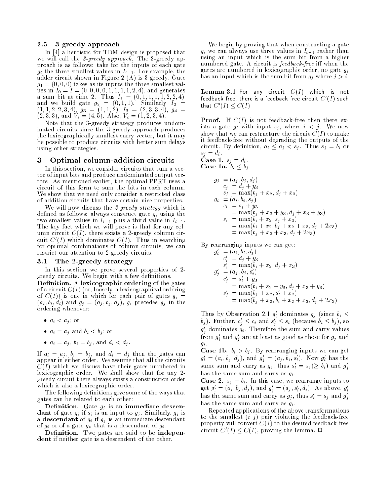### 2.5 3-greedy approach

In [4] a heuristic for TDM design is proposed that we will call the 3-greedy approach. The 3-greedy approach is as follows: take for the inputs of each gate  $\begin{array}{ccc} \bullet & \bullet & \bullet & \bullet \end{array}$ adder circuit shown in Figure 2 (A) is 3-green in Figure 2 (A) is 3-green in Figure 2 (A) is 3-green in Figure  $g_1 = (0, 0, 0)$  takes as its inputs the three smallest values in I0 <sup>=</sup> <sup>I</sup> = (0; 0; 0; 0; 1; 1; 1; 1; 2; 4), and generates and the 2. Thus in the 2. Thus in the 2. Thus II  $\alpha$  is  $\alpha$  in the 2. Thus II  $\alpha$ and we be the gate gate gate gate gate  $\alpha$ (1; 1; 2; 2; 3; 4), g3 <sup>=</sup> (1; 1; 2), I3 <sup>=</sup> (2; 3; 3; 4), g4 <sup>=</sup> (2; 3; 3), and Vs = (4; 5). Also, Vc = (1; 2; 3; 4).

Note that the 3-greedy strategy produces undominated circuits since the 3-greedy approach produces the lexicographically smallest carry vector, but it may be possible to produce circuits with better sum delays using other strategies.

### 3 Optimal column-addition circuits

In this section, we consider circuits that sum a vector of input bits and produce undominated output vectors. As mentioned earlier, the optimal PPRT uses a circuit of this form to sum the bits in each column. We show that we need only consider a restricted class of addition circuits that have certain nice properties.

We will now discuss the 2-greedy strategy which is defined as follows: always construct gate  $g_i$  using the two smallest values in  $I_{i-1}$  plus a third value in  $I_{i-1}$ . The key fact which we will prove is that for any column circuit  $C(I)$ , there exists a 2-greedy column circuit  $\cup$  (I) which dominates  $\cup$ (I). Thus in searching for optimal combinations of column circuits, we can restrict our attention to 2-greedy circuits.

#### The 2-greedy strategy 3.1

In this section we prove several properties of 2 greedy circuits. We begin with a few definitions.

Denition. A lexicographic ordering of the gates of a circuit  $C(I)$  (or, loosely, a lexicographical ordering of  $C(I)$ ) is one in which for each pair of gates  $g_i =$  $(a_i, b_i, d_i)$  and  $g_j = (a_j, b_j, d_j)$ ,  $g_i$  precedes  $g_j$  in the ordering whenever:

- $\alpha$  is  $\alpha$  in  $\alpha$
- ai  $a \rightarrow a$  is started by  $a \rightarrow a$  ; where  $b \rightarrow b$
- ai  $\alpha$  , bit  $\alpha$  , and different  $\alpha$  , and different  $\alpha$

If  $a_i = a_j$ ,  $b_i = b_j$ , and  $d_i = d_j$  then the gates can appear in either order. We assume that all the circuits  $C(I)$  which we discuss have their gates numbered in lexicographic order. We shall show that for any 2 greedy circuit there always exists a construction order which is also a lexicographic order.

The following definitions give some of the ways that gates can be related to each other:

 $\blacksquare$  ---------- Gate gj is an immediate descention. dant of gate gi if si is an input to gj . Similarly, gj is a descendant of  $g_i$  is  $g_j$  is an immediate descendant descendant of  $g_i$  or of a gate  $g_k$  that is a descendant of  $g_i$ .

Denition. Two gates are said to be independent if neither gate is a descendent of the other.

We begin by proving that when constructing a gate  $g_i$  we can always use three values in  $I_{i-1}$  rather than using an input which is the sum bit from a higher numbered gate. A circuit is  $feedback-free$  iff when the gates are numbered in lexicographic order, no gate  $g_i$ has an input which is the sum bit from  $g_j$  where  $j > i$ .

Lemma 3.1 For any circuit C(I) which is not  $\,$  reedback-free, there is a feedback-free circuit  $\rm C$  (1) such that  $\cup$   $\{I\}$   $\leq$   $\cup$   $\{I\}$ .

Proof. If C(I) is not feedback-free then there exists a gate  $g_i$  with input  $s_j$ , where  $i < j$ . We now show that we can restructure the circuit  $C(I)$  to make it feedback-free without degrading the outputs of the circuit. By definition,  $a_i \leq a_j < s_j$ . Thus  $s_j = b_i$  or  $s_j = d_i$ .

Case 1. sj <sup>=</sup> di.  $\sim$  2. bin  $\sim$  . by . by . bin  $\sim$  . by . by . by . by . cf. . cf. . cf. . cf. . cf. . cf. . cf. . cf. . cf. . cf. . cf. . cf. . cf. . cf. . cf. . cf. . cf. . cf. . cf. . cf. . cf. . cf. . cf. . cf. . cf. . cf. . cf. .

$$
g_j = (a_j, b_j, d_j)
$$
  
\n
$$
c_j = d_j + y_3
$$
  
\n
$$
s_j = \max(b_j + x_2, d_j + x_3)
$$
  
\n
$$
g_i = (a_i, b_i, s_j)
$$
  
\n
$$
c_i = s_j + y_3
$$
  
\n
$$
= \max(b_j + x_2 + y_3, d_j + x_3 + y_3)
$$
  
\n
$$
s_i = \max(b_i + x_2, s_j + x_3)
$$
  
\n
$$
= \max(b_i + x_2, b_j + x_2 + x_3, d_j + 2x_3)
$$
  
\n
$$
= \max(b_j + x_2 + x_3, d_j + 2x_3)
$$

By rearranging inputs we can get:

$$
g_i = (a_i, b_i, d_j)
$$
  
\n
$$
c'_i = d_j + y_3
$$
  
\n
$$
s'_i = \max(b_i + x_2, d_j + x_3)
$$
  
\n
$$
g'_j = (a_j, b_j, s'_i)
$$
  
\n
$$
c'_j = s'_i + y_3
$$
  
\n
$$
= \max(b_i + x_2 + y_3, d_j + x_3 + y_3)
$$
  
\n
$$
s'_j = \max(b_j + x_2, s'_i + x_3)
$$
  
\n
$$
= \max(b_j + x_2, b_i + x_2 + x_3, d_j + 2x_3)
$$

Thus by Observation 2.1  $g_i$  dominates  $g_j$  (since  $v_i \leq$  $\theta_j$ ). Further,  $c_i \leq c_i$  and  $s_i \leq s_i$  (because  $\theta_i \leq \theta_j$ ), so  ${\it g}_{i}$  dominates  ${\it g}_{i}.$  Therefore the sum and carry values from  $\overline{g}_i$  and  $\overline{g}_j$  are at least as good as those for  $\overline{g}_j$  and  $\cdot$   $\cdot$   $\cdot$ 

Case 1b. bi > bj . By rearranging inputs we can get  $g_i = (a_i, o_j, a_j)$ , and  $g_j = (a_j, o_i, s_i)$ . Now  $g_i$  has the same sum and carry as  $g_j$ , thus  $s_i = s_j (\geq v_i)$  and  $g_j$ has the same sum and carry as  $g_i$ .

case 2. si en bi . In this case, we rearrange inputs to get  $y_i = (a_i, v_j, a_j)$ , and  $y_j = (a_j, s_i, a_i)$ . As above,  $y_i$ nas the same sum and carry as  $g_j$  , thus  $s_i = s_j$  and  $g_i$ <sup>j</sup> has the same sum and carry as  $q_i$ .

Repeated applications of the above transformations to the smallest  $(i, j)$  pair violating the feedback-free property will convert  $C(I)$  to the desired feedback-free circuit U $(1) \leq U(1)$ , proving the lemma.  $\Box$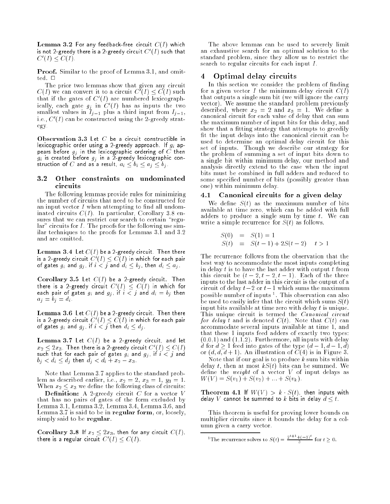$\blacksquare$  contains the form any feedback-free circuit  $C(1)$  which  $C$ is not 2-greedy there is a 2-greedy circuit  $\cup$  (1) such that  $\cup$   $\perp$   $\perp$   $\vee$   $\cup$   $\perp$   $\perp$ 

Proof. Similar to the proof of Lemma 3.1, and omitted.  $\Box$ 

The prior two lemmas show that given any circuit  $C(I)$  we can convert it to a circuit  $C(I) \setminus C(I)$  such that if the gates of C<sup>0</sup> (I) are numbered lexicographically, each gate  $g_j$  in  $\cup$  (1) has as inputs the two smallest values in  $I_{j-1}$  plus a third input from  $I_{j-1}$ , i.e., C<sup>0</sup> (I) can be constructed using the 2-greedy strategy.

lexicographic order using a 2-greedy approach. If  $g_i$  appears before gj in the lexicographic ordering of <sup>C</sup> then give a 2-greedy lexicographic contraction construction of C and as a result,  $a_i \leq b_i \leq a_j \leq b_j$ .

### 3.2 Other constraints on undominated circuits

The following lemmas provide rules for minimizing the number of circuits that need to be constructed for an input vector  $I$  when attempting to find all undominated circuits  $C(I)$ . In particular, Corollary 3.8 ensures that we can restrict our search to certain "regular" circuits for I. The proofs for the following use similar techniques to the proofs for Lemmas 3.1 and 3.2 and are omitted.

 $\blacksquare$  . Then  $\blacksquare$  and  $\blacksquare$  and  $\blacksquare$  are a  $\blacksquare$ is a z-greedy circuit  $C_0(I) \leq C(I)$  in which for each pair of gates  $g_i$  and  $g_j$  , if  $i < j$  and  $d_i \leq b_j$ , then  $d_i \leq a_j$ .

Corollary 3.5 Let C(I) be a 2-greedy circuit. Then there is a 2-greedy circuit  $U(1) \leq U(1)$  in which for each pair of gates gi and gj , if i < j and di <sup>=</sup> bj then  $a_i = b_j = d_i$ 

 $\blacksquare$  . Then  $\blacksquare$  and  $\blacksquare$  and  $\blacksquare$  are a  $\blacksquare$ is a 2-greedy circuit  $\cup$  (I)  $\leq$   $\cup$ (I) in which for each pair of gates  $g_i$  and  $g_j$  , if  $i < j$  then  $d_i \leq d_j$ .

Lemma 3.7 Let C(I) be a 2-greedy circuit, and let  $x_2 \leq z x_3$ . Then there is a z-greedy circuit  $\bigcup \{1\} \leq C(1)$ such that for each pair of gates gi and gj , if i < j and  $\alpha$  , and discussed the discussed of  $\alpha$  and  $\alpha$ 

Note that Lemma 3.7 applies to the standard problem as described earlier, i.e.,  $x_2 = 2, x_3 = 1, y_3 = 1.$ When  $x_2 \leq x_3$  we define the following class of circuits:

Denition: A 2-greedy circuit C for a vector V that has no pairs of the form excluded by  $\mathcal{L}_{\mathcal{A}}$  and  $\mathcal{L}_{\mathcal{A}}$  and  $\mathcal{L}_{\mathcal{A}}$  and  $\mathcal{L}_{\mathcal{A}}$  and  $\mathcal{L}_{\mathcal{A}}$  and  $\mathcal{L}_{\mathcal{A}}$  and  $\mathcal{L}_{\mathcal{A}}$  and  $\mathcal{L}_{\mathcal{A}}$  and  $\mathcal{L}_{\mathcal{A}}$  and  $\mathcal{L}_{\$ Lemma 3.1, Lemma 3.2, Lemma 3.4, Lemma 3.6, and Lemma 3.7 is said to be in regular form, or, loosely, simply said to be regular.

 $\mathbf{1}$  are any corollary  $\mathbf{2}$  and  $\mathbf{3}$ , then for any circuit C(I),  $\mathbf{1}$ there is a regular circuit  $\cup$   $(1) \leq U(1)$ .

The above lemmas can be used to severely limit an exhaustive search for an optimal solution to the standard problem, since they allow us to restrict the search to regular circuits for each input I.

#### 4 Optimal delay circuits 4

In this section we consider the problem of finding for a given vector I the minimum delay circuit  $C(I)$ that outputs a single sum bit (we will ignore the carry vector). We assume the standard problem previously described, where x2 <sup>=</sup> <sup>2</sup> and x3 <sup>=</sup> 1. We dene <sup>a</sup> canonical circuit for each value of delay that can sum sum the maximum number of input bits for this delay, and show that a fitting strategy that attempts to greedily fit the input delays into the canonical circuit can be used to determine an optimal delay circuit for this set of inputs. Though we describe our strategy for the problem of summing a set of input bits down to a single bit within minimum delay, our method and analysis directly extend to the case when the input bits must be combined in full adders and reduced to some specied number of bits (possibly greater than one) within minimum delay.

### 4.1 Canonical circuits for a given delay

We define  $S(t)$  as the maximum number of bits available at time zero, which can be added with full adders to produce a single sum by time  $t$ . We can write a simple recurrence for  $S(t)$  as follows.

$$
S(0) = S(1) = 1
$$
  
\n
$$
S(t) = S(t-1) + 2S(t-2) \quad t > 1
$$

The recurrence follows from the observation that the best way to accommodate the most inputs completing in delay  $t$  is to have the last adder with output  $t$  from this circuit be  $(t-2, t-2, t-1)$ . Each of the three inputs to the last adder in this circuit is the output of a circuit of delay  $t-2$  or  $t-1$  which sums the maximum possible number of inputs <sup>1</sup> . This observation can also be used to easily infer that the circuit which sums  $S(t)$ input bits available at time zero with delay  $t$  is unique. This unique circuit is termed the *Canonical circuit* for delay t and is denoted  $C(t)$ . Note that  $C(t)$  can accommodate several inputs available at time 1, and that these 1 inputs feed adders of exactly two types:  $(0,0,1)$  and  $(1,1,2)$ . Furthermore, all inputs with delay d for  $d \geq 1$  feed into gates of the type  $(d-1, d-1, d)$ or  $(d, d, d + 1)$ . An illustration of  $C(4)$  is in Figure 3.

Note that if our goal is to produce  $k$  sum bits within delay t, then at most  $kS(t)$  bits can be summed. We define the weight of a vector  $V$  of input delays as  $W(V) = S(v_1) + S(v_2) + \ldots + S(v_k).$ 

Theorem 4.1 If W(V ) > k S(t), then inputs with delay  $V$  cannot be summed to  $k$  bits in delay  $d \leq t$ .

This theorem is useful for proving lower bounds on multiplier circuits since it bounds the delay for a column given a carry vector.

<sup>&</sup>lt;sup>1</sup>The recurrence solves to  $S(t) = \frac{2t+(-1)t}{t}$  for  $t > 0$ .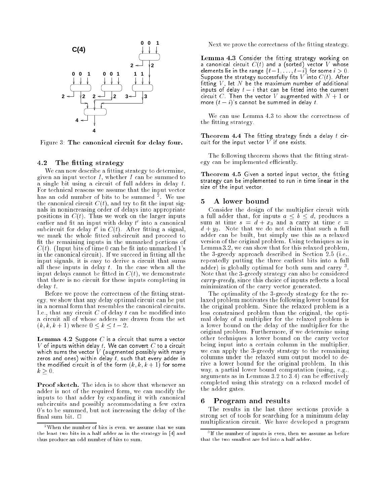

Figure 3: The canonical circuit for delay four.

### 4.2 The fitting strategy

We can now describe a fitting strategy to determine, given an input vector  $I$ , whether  $I$  can be summed to a single bit using a circuit of full adders in delay  $t$ . For technical reasons we assume that the input vector has an odd number of bits to be summed <sup>2</sup> . We use the canonical circuit  $C(t)$ , and try to fit the input signals in nonincreasing order of delays into appropriate positions in  $C(t)$ . Thus we work on the larger inputs earlier and itt an input with delay  $\iota$  -filto a canonical subcircuit for delay  $t$  in  $\cup$  ( $t$ ). After inteng a signal, we mark the whole fitted subcircuit and proceed to fit the remaining inputs in the unmarked portions of  $C(t)$ . (Input bits of time 0 can be fit into unmarked 1's in the canonical circuit). If we succeed in fitting all the input signals, it is easy to derive a circuit that sums all these inputs in delay  $t$ . In the case when all the input delays cannot be fitted in  $C(t)$ , we demonstrate that there is no circuit for these inputs completing in delay t.

Before we prove the correctness of the fitting strategy, we show that any delay optimal circuit can be put in a normal form that resembles the canonical circuits. I.e., that any circuit  $C$  of delay  $t$  can be modified into a circuit all of whose adders are drawn from the set  $(k, k, k+1)$  where  $0 \leq k \leq t-2$ .

Lemma 4.2 Suppose C is a circuit that sums a vector  $V$  of inputs within delay  $t$  We can convert  $C$  to a circuit which sums the vector  $\tilde{V}$  (augmented possibly with many zeros and ones) within delay  $t_i$ , such that every adder in the modified circuit is of the form  $(k, k, k + 1)$  for some  $k \geq 0$ .

Proof sketch. The idea is to show that whenever an adder is not of the required form, we can modify the inputs to that adder by expanding it with canonical subcircuits and possibly accommodating a few extra 0's to be summed, but not increasing the delay of the final sum bit.  $\Box$ 

Next we prove the correctness of the fitting strategy.

Lemma 4.3 Consider the tting strategy working on a canonical circuit  $C(t)$  and a (sorted) vector  $V$  whose elements lie in the range ft1; : : : ; tig for some i > 0. Suppose the strategy successfully ts V into C(t). After tting V , let N be the maximum number of additional inputs of delay t i that can be tted into the current circuit C. Then the vector V augmented with  $N+1$  or more  $(t - i)$ 's cannot be summed in delay t.

We can use Lemma 4.3 to show the correctness of the fitting strategy.

Theorem 4.4 The tting strategy nds a delay t circuit for the input vector  $V$  if one exists.

The following theorem shows that the fitting strategy can be implemented efficiently.

Theorem 4.5 Given a sorted input vector, the tting strategy can be implemented to run in time linear in the size of the input vector.

Consider the design of the multiplier circuit with a full adder that, for inputs  $a \leq b \leq d$ , produces a sum at time  $s = d + x_3$  and a carry at time  $c =$  $d + y_3$ . Note that we do not claim that such a full adder can be built, built, built, built, built, built, built, built, built, built, built, built, built, built, version of the original problem. Using techniques as in Lemma 3.2, we can show that for this relaxed problem, the 3-greedy approach described in Section 2.5 (i.e., repeatedly putting the three earliest bits into a full adder) is globally optimal for both sum and carry 3. Note that the 3-greedy strategy can also be considered carry-greedy, since this choice of inputs reflects a local minimization of the carry vector generated.

The optimality of the 3-greedy strategy for the relaxed problem motivates the following lower bound for the original problem. Since the relaxed problem is a less constrained problem than the original, the optimal delay of a multiplier for the relaxed problem is a lower bound on the delay of the multiplier for the original problem. Furthermore, if we determine using other techniques a lower bound on the carry vector being input into a certain column in the multiplier, we can apply the 3-greedy strategy to the remaining columns under the relaxed sum output model to derive a lower bound for the original problem. In this way, a partial lower bound computation (using, e.g., arguments as in Lemmas  $3.2$  to  $3.4$ ) can be effectively completed using this strategy on a relaxed model of the adder gates.

#### 6. 6 Program and results

The results in the last three sections provide a strong set of tools for searching for a minimum delay multiplication circuit. We have developed a program

<sup>&</sup>lt;sup>2</sup>When the number of bits is even, we assume that we sum the least two bits in a half adder as in the strategy in [4] and thus produce an odd number of bits to sum.

If the number of inputs is even, then we assume as before that the two smallest are fed into a half adder.